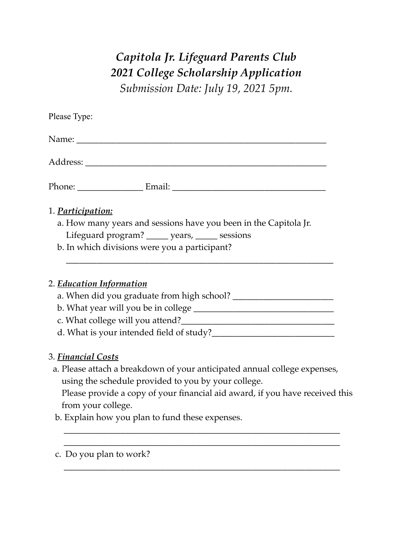## *Capitola Jr. Lifeguard Parents Club 2021 College Scholarship Application Submission Date: July 19, 2021 5pm.*

\_\_\_\_\_\_\_\_\_\_\_\_\_\_\_\_\_\_\_\_\_\_\_\_\_\_\_\_\_\_\_\_\_\_\_\_\_\_\_\_\_\_\_\_\_\_\_\_\_\_\_\_\_\_\_\_\_\_\_\_\_\_\_

c. Do you plan to work?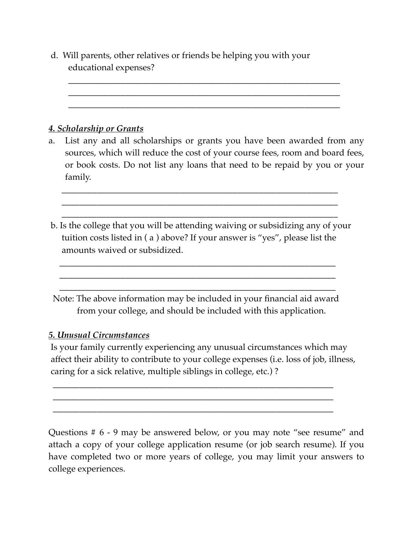d. Will parents, other relatives or friends be helping you with your educational expenses?

 \_\_\_\_\_\_\_\_\_\_\_\_\_\_\_\_\_\_\_\_\_\_\_\_\_\_\_\_\_\_\_\_\_\_\_\_\_\_\_\_\_\_\_\_\_\_\_\_\_\_\_\_\_\_\_\_\_\_\_\_\_\_ \_\_\_\_\_\_\_\_\_\_\_\_\_\_\_\_\_\_\_\_\_\_\_\_\_\_\_\_\_\_\_\_\_\_\_\_\_\_\_\_\_\_\_\_\_\_\_\_\_\_\_\_\_\_\_\_\_\_\_\_\_\_ \_\_\_\_\_\_\_\_\_\_\_\_\_\_\_\_\_\_\_\_\_\_\_\_\_\_\_\_\_\_\_\_\_\_\_\_\_\_\_\_\_\_\_\_\_\_\_\_\_\_\_\_\_\_\_\_\_\_\_\_\_\_

## *4. Scholarship or Grants*

- a. List any and all scholarships or grants you have been awarded from any sources, which will reduce the cost of your course fees, room and board fees, or book costs. Do not list any loans that need to be repaid by you or your family.
- b. Is the college that you will be attending waiving or subsidizing any of your tuition costs listed in ( a ) above? If your answer is "yes", please list the amounts waived or subsidized.

 \_\_\_\_\_\_\_\_\_\_\_\_\_\_\_\_\_\_\_\_\_\_\_\_\_\_\_\_\_\_\_\_\_\_\_\_\_\_\_\_\_\_\_\_\_\_\_\_\_\_\_\_\_\_\_\_\_\_\_\_\_\_\_ \_\_\_\_\_\_\_\_\_\_\_\_\_\_\_\_\_\_\_\_\_\_\_\_\_\_\_\_\_\_\_\_\_\_\_\_\_\_\_\_\_\_\_\_\_\_\_\_\_\_\_\_\_\_\_\_\_\_\_\_\_\_\_ \_\_\_\_\_\_\_\_\_\_\_\_\_\_\_\_\_\_\_\_\_\_\_\_\_\_\_\_\_\_\_\_\_\_\_\_\_\_\_\_\_\_\_\_\_\_\_\_\_\_\_\_\_\_\_\_\_\_\_\_\_\_\_

 Note: The above information may be included in your financial aid award from your college, and should be included with this application.

 \_\_\_\_\_\_\_\_\_\_\_\_\_\_\_\_\_\_\_\_\_\_\_\_\_\_\_\_\_\_\_\_\_\_\_\_\_\_\_\_\_\_\_\_\_\_\_\_\_\_\_\_\_\_\_\_\_\_\_\_\_\_\_ \_\_\_\_\_\_\_\_\_\_\_\_\_\_\_\_\_\_\_\_\_\_\_\_\_\_\_\_\_\_\_\_\_\_\_\_\_\_\_\_\_\_\_\_\_\_\_\_\_\_\_\_\_\_\_\_\_\_\_\_\_\_\_ \_\_\_\_\_\_\_\_\_\_\_\_\_\_\_\_\_\_\_\_\_\_\_\_\_\_\_\_\_\_\_\_\_\_\_\_\_\_\_\_\_\_\_\_\_\_\_\_\_\_\_\_\_\_\_\_\_\_\_\_\_\_\_

## *5. Unusual Circumstances*

 Is your family currently experiencing any unusual circumstances which may affect their ability to contribute to your college expenses (i.e. loss of job, illness, caring for a sick relative, multiple siblings in college, etc.) ?

 \_\_\_\_\_\_\_\_\_\_\_\_\_\_\_\_\_\_\_\_\_\_\_\_\_\_\_\_\_\_\_\_\_\_\_\_\_\_\_\_\_\_\_\_\_\_\_\_\_\_\_\_\_\_\_\_\_\_\_\_\_\_\_\_ \_\_\_\_\_\_\_\_\_\_\_\_\_\_\_\_\_\_\_\_\_\_\_\_\_\_\_\_\_\_\_\_\_\_\_\_\_\_\_\_\_\_\_\_\_\_\_\_\_\_\_\_\_\_\_\_\_\_\_\_\_\_\_\_ \_\_\_\_\_\_\_\_\_\_\_\_\_\_\_\_\_\_\_\_\_\_\_\_\_\_\_\_\_\_\_\_\_\_\_\_\_\_\_\_\_\_\_\_\_\_\_\_\_\_\_\_\_\_\_\_\_\_\_\_\_\_\_\_

Questions # 6 - 9 may be answered below, or you may note "see resume" and attach a copy of your college application resume (or job search resume). If you have completed two or more years of college, you may limit your answers to college experiences.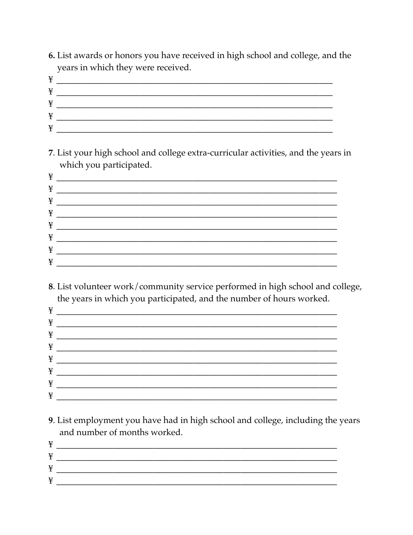6. List awards or honors you have received in high school and college, and the years in which they were received.

| $\mathbf{v}$<br>× |  |
|-------------------|--|
| ¥                 |  |
| ¥                 |  |
| ¥                 |  |
| v                 |  |

7. List your high school and college extra-curricular activities, and the years in which you participated.

| ¥ |  |
|---|--|
| ¥ |  |
| ¥ |  |
| ¥ |  |
| ¥ |  |
| ¥ |  |
| ¥ |  |
| ¥ |  |

8. List volunteer work/community service performed in high school and college, the years in which you participated, and the number of hours worked.

9. List employment you have had in high school and college, including the years and number of months worked.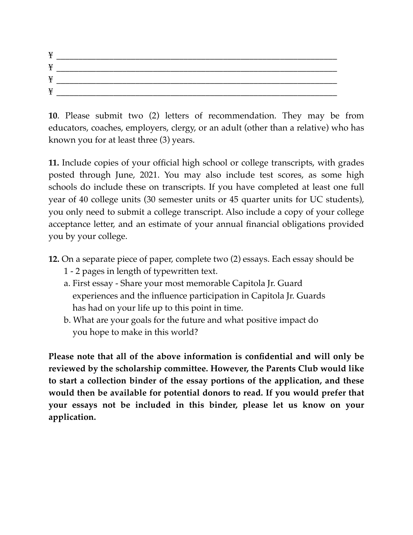| T<br>¥ |  |
|--------|--|
| ¥      |  |
| ¥      |  |
| ¥      |  |

**10**. Please submit two (2) letters of recommendation. They may be from educators, coaches, employers, clergy, or an adult (other than a relative) who has known you for at least three (3) years.

**11.** Include copies of your official high school or college transcripts, with grades posted through June, 2021. You may also include test scores, as some high schools do include these on transcripts. If you have completed at least one full year of 40 college units (30 semester units or 45 quarter units for UC students), you only need to submit a college transcript. Also include a copy of your college acceptance letter, and an estimate of your annual financial obligations provided you by your college.

- **12.** On a separate piece of paper, complete two (2) essays. Each essay should be
	- 1 2 pages in length of typewritten text.
	- a. First essay Share your most memorable Capitola Jr. Guard experiences and the influence participation in Capitola Jr. Guards has had on your life up to this point in time.
	- b. What are your goals for the future and what positive impact do you hope to make in this world?

**Please note that all of the above information is confidential and will only be reviewed by the scholarship committee. However, the Parents Club would like to start a collection binder of the essay portions of the application, and these would then be available for potential donors to read. If you would prefer that your essays not be included in this binder, please let us know on your application.**